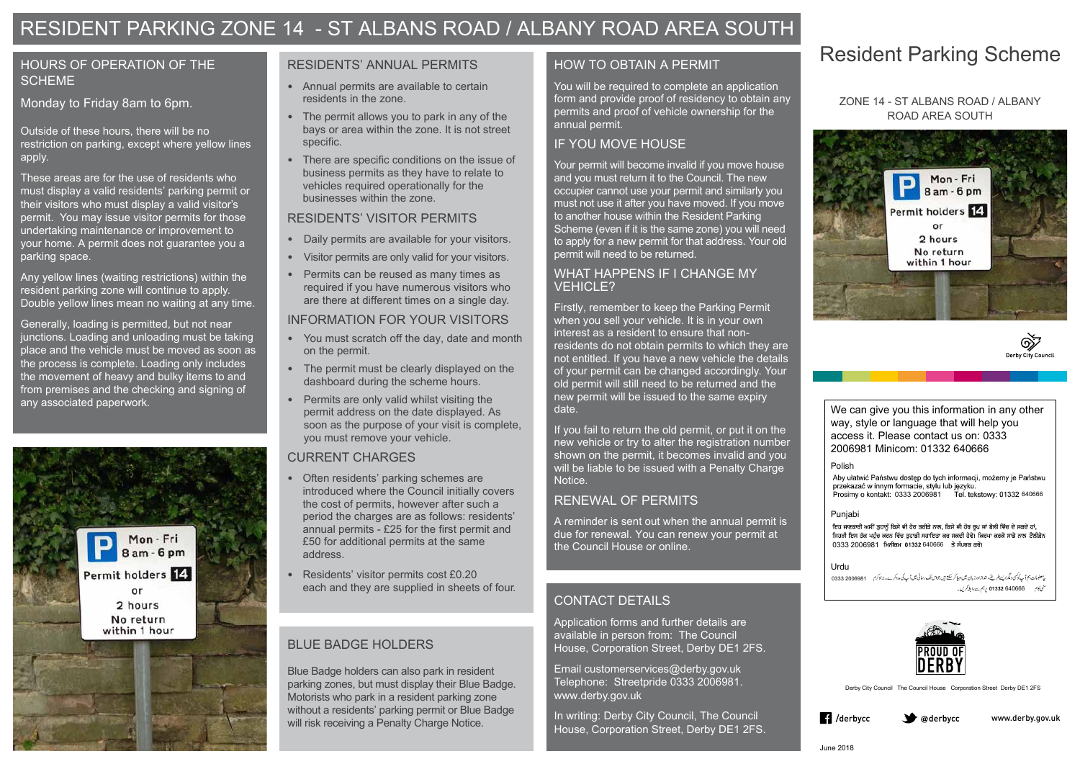# Resident Parking Scheme

### HOURS OF OPERATION OF THE **SCHEME**

#### ZONE 14 - ST ALBANS ROAD / ALBANY ROAD AREA SOUTH





### Monday to Friday 8am to 6pm.

Outside of these hours, there will be no restriction on parking, except where yellow lines apply.

These areas are for the use of residents who must display a valid residents' parking permit or their visitors who must display a valid visitor's permit. You may issue visitor permits for those undertaking maintenance or improvement to your home. A permit does not guarantee you a parking space.

> Blue Badge holders can also park in resident parking zones, but must display their Blue Badge. Motorists who park in a resident parking zone without a residents' parking permit or Blue Badge will risk receiving a Penalty Charge Notice.

Any yellow lines (waiting restrictions) within the resident parking zone will continue to apply. Double yellow lines mean no waiting at any time.

Generally, loading is permitted, but not near junctions. Loading and unloading must be taking place and the vehicle must be moved as soon as the process is complete. Loading only includes the movement of heavy and bulky items to and from premises and the checking and signing of any associated paperwork.



# BLUE BADGE HOLDERS

#### RESIDENTS' ANNUAL PERMITS

You will be required to complete an application form and provide proof of residency to obtain any permits and proof of vehicle ownership for the annual permit.

- Annual permits are available to certain residents in the zone.
- The permit allows you to park in any of the bays or area within the zone. It is not street specific.
- There are specific conditions on the issue of business permits as they have to relate to vehicles required operationally for the businesses within the zone.

Your permit will become invalid if you move house and you must return it to the Council. The new occupier cannot use your permit and similarly you must not use it after you have moved. If you move to another house within the Resident Parking Scheme (even if it is the same zone) you will need to apply for a new permit for that address. Your old permit will need to be returned.

### RESIDENTS' VISITOR PERMITS

- Daily permits are available for your visitors.
- Visitor permits are only valid for your visitors.
- Permits can be reused as many times as required if you have numerous visitors who are there at different times on a single day.

### INFORMATION FOR YOUR VISITORS

- You must scratch off the day, date and month on the permit.
- The permit must be clearly displayed on the dashboard during the scheme hours.
- Permits are only valid whilst visiting the permit address on the date displayed. As soon as the purpose of your visit is complete, you must remove your vehicle.

## CURRENT CHARGES

0333 2006981 640666



Aby ułatwić Państwu dostęp do tych informacji, możemy je Państwu 640666 0333 2006981

- Often residents' parking schemes are introduced where the Council initially covers the cost of permits, however after such a period the charges are as follows: residents' annual permits - £25 for the first permit and £50 for additional permits at the same address.
- Residents' visitor permits cost £0.20 each and they are supplied in sheets of four.

# HOW TO OBTAIN A PERMIT

## IF YOU MOVE HOUSE

### WHAT HAPPENS IF I CHANGE MY VEHICLE?

Firstly, remember to keep the Parking Permit when you sell your vehicle. It is in your own interest as a resident to ensure that nonresidents do not obtain permits to which they are not entitled. If you have a new vehicle the details of your permit can be changed accordingly. Your old permit will still need to be returned and the new permit will be issued to the same expiry date.

If you fail to return the old permit, or put it on the new vehicle or try to alter the registration number shown on the permit, it becomes invalid and you will be liable to be issued with a Penalty Charge Notice.

## RENEWAL OF PERMITS

A reminder is sent out when the annual permit is due for renewal. You can renew your permit at the Council House or online.

# RESIDENT PARKING ZONE 14 - ST ALBANS ROAD / ALBANY ROAD AREA SOUTH

# CONTACT DETAILS

Application forms and further details are available in person from: The Council House, Corporation Street, Derby DE1 2FS.

Email customerservices@derby.gov.uk Telephone: Streetpride 0333 2006981. www.derby.gov.uk

In writing: Derby City Council, The Council House, Corporation Street, Derby DE1 2FS. Derby City Council The Council House Corporation Street Derby DE1 2FS





#### Punjabi

ਇਹ ਜਾਣਕਾਰੀ ਅਸੀਂ ਤੁਹਾਨੂੰ ਕਿਸੇ ਵੀ ਹੋਰ ਤਰੀਕੇ ਨਾਲ, ਕਿਸੇ ਵੀ ਹੋਰ ਰੂਪ ਜਾਂ ਬੋਲੀ ਵਿੱਚ ਦੇ ਸਕਦੇ ਹਾਂ, ਜਿਹੜੀ ਇਸ ਤੱਕ ਪਹੁੰਚ ਕਰਨ ਵਿੱਚ ਤਹਾਡੀ ਸਹਾਇਤਾ ਕਰ ਸਕਦੀ ਹੋਵੇ। ਕਿਰਪਾ ਕਰਕੇ ਸਾਡੇ ਨਾਲ *ਟੈ*ਲੀਫ਼ੋਨ 0333 2006981 ਮਿਨੀਕਮ 01332 640666

#### Urdu

We can give you this information in any other way, style or language that will help you access it. Please contact us on: 0333 2006981 Minicom: 01332 640666

#### Polish